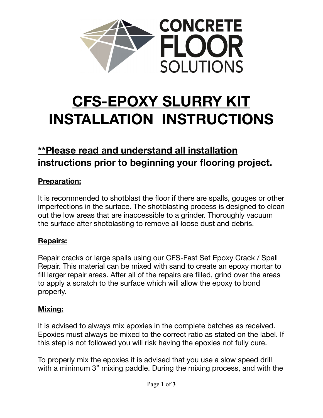

# **CFS-EPOXY SLURRY KIT INSTALLATION INSTRUCTIONS**

# **\*\*Please read and understand all installation instructions prior to beginning your flooring project.**

# **Preparation:**

It is recommended to shotblast the floor if there are spalls, gouges or other imperfections in the surface. The shotblasting process is designed to clean out the low areas that are inaccessible to a grinder. Thoroughly vacuum the surface after shotblasting to remove all loose dust and debris.

## **Repairs:**

Repair cracks or large spalls using our CFS-Fast Set Epoxy Crack / Spall Repair. This material can be mixed with sand to create an epoxy mortar to fill larger repair areas. After all of the repairs are filled, grind over the areas to apply a scratch to the surface which will allow the epoxy to bond properly.

#### **Mixing:**

It is advised to always mix epoxies in the complete batches as received. Epoxies must always be mixed to the correct ratio as stated on the label. If this step is not followed you will risk having the epoxies not fully cure.

To properly mix the epoxies it is advised that you use a slow speed drill with a minimum 3" mixing paddle. During the mixing process, and with the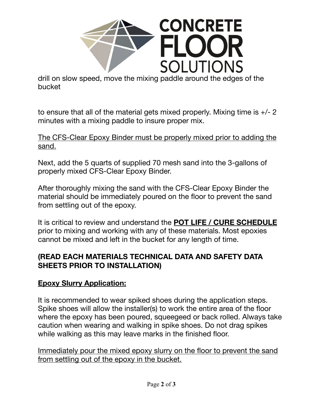

drill on slow speed, move the mixing paddle around the edges of the bucket

to ensure that all of the material gets mixed properly. Mixing time is +/- 2 minutes with a mixing paddle to insure proper mix.

The CFS-Clear Epoxy Binder must be properly mixed prior to adding the sand.

Next, add the 5 quarts of supplied 70 mesh sand into the 3-gallons of properly mixed CFS-Clear Epoxy Binder.

After thoroughly mixing the sand with the CFS-Clear Epoxy Binder the material should be immediately poured on the floor to prevent the sand from settling out of the epoxy.

It is critical to review and understand the **POT LIFE / CURE SCHEDULE** prior to mixing and working with any of these materials. Most epoxies cannot be mixed and left in the bucket for any length of time.

### **(READ EACH MATERIALS TECHNICAL DATA AND SAFETY DATA SHEETS PRIOR TO INSTALLATION)**

#### **Epoxy Slurry Application:**

It is recommended to wear spiked shoes during the application steps. Spike shoes will allow the installer(s) to work the entire area of the floor where the epoxy has been poured, squeegeed or back rolled. Always take caution when wearing and walking in spike shoes. Do not drag spikes while walking as this may leave marks in the finished floor.

Immediately pour the mixed epoxy slurry on the floor to prevent the sand from settling out of the epoxy in the bucket.